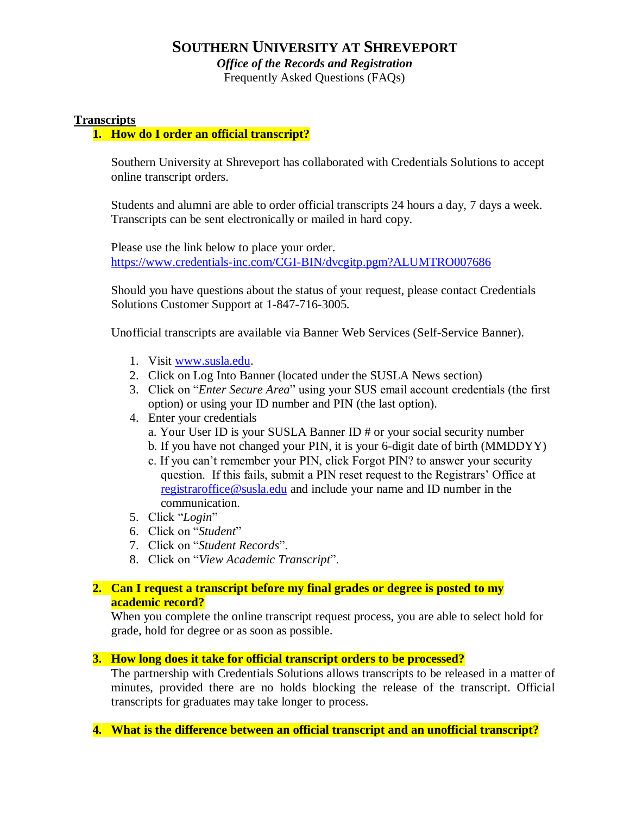# **SOUTHERN UNIVERSITY AT SHREVEPORT**

*Office of the Records and Registration* 

Frequently Asked Questions (FAQs)

# **Transcripts**

# **1. How do I order an official transcript?**

Southern University at Shreveport has collaborated with Credentials Solutions to accept online transcript orders.

Students and alumni are able to order official transcripts 24 hours a day, 7 days a week. Transcripts can be sent electronically or mailed in hard copy.

Please use the link below to place your order. <https://www.credentials-inc.com/CGI-BIN/dvcgitp.pgm?ALUMTRO007686>

Should you have questions about the status of your request, please contact Credentials Solutions Customer Support at 1-847-716-3005.

Unofficial transcripts are available via Banner Web Services (Self-Service Banner).

- 1. Visit [www.susla.edu.](http://www.susla.edu/)
- 2. Click on Log Into Banner (located under the SUSLA News section)
- 3. Click on "*Enter Secure Area*" using your SUS email account credentials (the first option) or using your ID number and PIN (the last option).
- 4. Enter your credentials
	- a. Your User ID is your SUSLA Banner ID # or your social security number
	- b. If you have not changed your PIN, it is your 6-digit date of birth (MMDDYY)
	- c. If you can't remember your PIN, click Forgot PIN? to answer your security question. If this fails, submit a PIN reset request to the Registrars' Office at [registraroffice@susla.edu](mailto:registraroffice@susla.edu) and include your name and ID number in the communication.
- 5. Click "*Login*"
- 6. Click on "*Student*"
- 7. Click on "*Student Records*".
- 8. Click on "*View Academic Transcript*".

# **2. Can I request a transcript before my final grades or degree is posted to my academic record?**

When you complete the online transcript request process, you are able to select hold for grade, hold for degree or as soon as possible.

#### **3. How long does it take for official transcript orders to be processed?**

The partnership with Credentials Solutions allows transcripts to be released in a matter of minutes, provided there are no holds blocking the release of the transcript. Official transcripts for graduates may take longer to process.

**4. What is the difference between an official transcript and an unofficial transcript?**